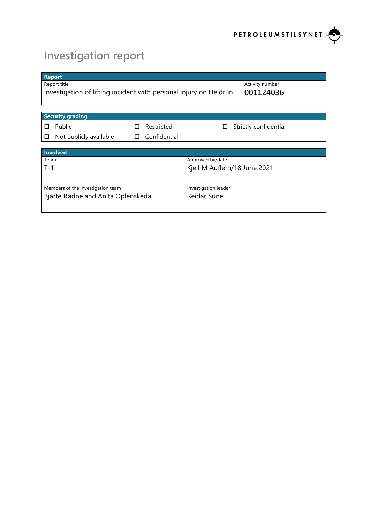

# **Investigation report**

| <b>Report</b>                                                     |   |              |                             |                       |
|-------------------------------------------------------------------|---|--------------|-----------------------------|-----------------------|
| Report title                                                      |   |              |                             | Activity number       |
| Investigation of lifting incident with personal injury on Heidrun |   |              |                             | 001124036             |
|                                                                   |   |              |                             |                       |
|                                                                   |   |              |                             |                       |
| <b>Security grading</b>                                           |   |              |                             |                       |
| Public<br>П                                                       | П | Restricted   | ப                           | Strictly confidential |
| Not publicly available<br>□                                       | □ | Confidential |                             |                       |
|                                                                   |   |              |                             |                       |
| Involved                                                          |   |              |                             |                       |
| Team                                                              |   |              | Approved by/date            |                       |
| $T-1$                                                             |   |              | Kjell M Auflem/18 June 2021 |                       |
|                                                                   |   |              |                             |                       |
| Members of the investigation team                                 |   |              | Investigation leader        |                       |
| Bjarte Rødne and Anita Oplenskedal                                |   |              | <b>Reidar Sune</b>          |                       |
|                                                                   |   |              |                             |                       |
|                                                                   |   |              |                             |                       |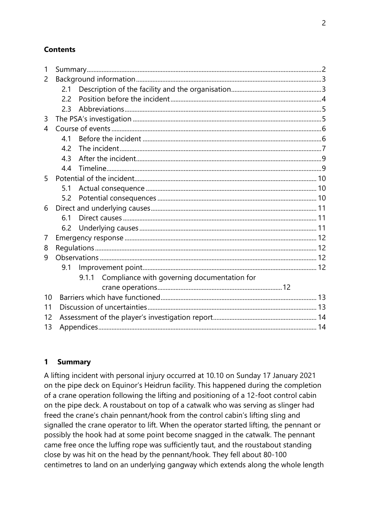#### **Contents**

| $\mathbf{1}$ |     |  |                                                   |  |  |
|--------------|-----|--|---------------------------------------------------|--|--|
| 2            |     |  |                                                   |  |  |
|              | 2.1 |  |                                                   |  |  |
|              | 2.2 |  |                                                   |  |  |
|              | 2.3 |  |                                                   |  |  |
| 3            |     |  |                                                   |  |  |
| 4            |     |  |                                                   |  |  |
|              | 4.1 |  |                                                   |  |  |
|              | 4.2 |  |                                                   |  |  |
|              | 4.3 |  |                                                   |  |  |
|              | 4.4 |  |                                                   |  |  |
| 5            |     |  |                                                   |  |  |
|              | 5.1 |  |                                                   |  |  |
|              | 5.2 |  |                                                   |  |  |
| 6            |     |  |                                                   |  |  |
|              | 6.1 |  |                                                   |  |  |
|              | 6.2 |  |                                                   |  |  |
| 7            |     |  |                                                   |  |  |
| 8            |     |  |                                                   |  |  |
| 9            |     |  |                                                   |  |  |
|              | 9.1 |  |                                                   |  |  |
|              |     |  | 9.1.1 Compliance with governing documentation for |  |  |
|              |     |  |                                                   |  |  |
| 10           |     |  |                                                   |  |  |
| 11           |     |  |                                                   |  |  |
| 12           |     |  |                                                   |  |  |
| 13           |     |  |                                                   |  |  |

#### **1 Summary**

A lifting incident with personal injury occurred at 10.10 on Sunday 17 January 2021 on the pipe deck on Equinor's Heidrun facility. This happened during the completion of a crane operation following the lifting and positioning of a 12-foot control cabin on the pipe deck. A roustabout on top of a catwalk who was serving as slinger had freed the crane's chain pennant/hook from the control cabin's lifting sling and signalled the crane operator to lift. When the operator started lifting, the pennant or possibly the hook had at some point become snagged in the catwalk. The pennant came free once the luffing rope was sufficiently taut, and the roustabout standing close by was hit on the head by the pennant/hook. They fell about 80-100 centimetres to land on an underlying gangway which extends along the whole length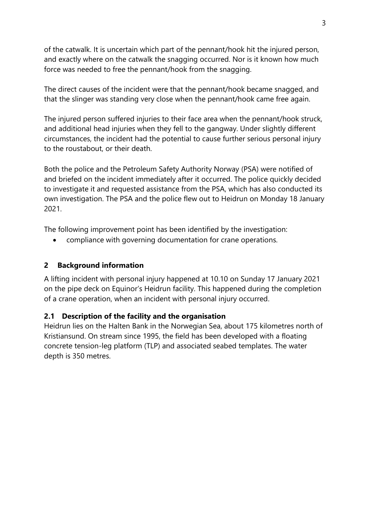of the catwalk. It is uncertain which part of the pennant/hook hit the injured person, and exactly where on the catwalk the snagging occurred. Nor is it known how much force was needed to free the pennant/hook from the snagging.

The direct causes of the incident were that the pennant/hook became snagged, and that the slinger was standing very close when the pennant/hook came free again.

The injured person suffered injuries to their face area when the pennant/hook struck, and additional head injuries when they fell to the gangway. Under slightly different circumstances, the incident had the potential to cause further serious personal injury to the roustabout, or their death.

Both the police and the Petroleum Safety Authority Norway (PSA) were notified of and briefed on the incident immediately after it occurred. The police quickly decided to investigate it and requested assistance from the PSA, which has also conducted its own investigation. The PSA and the police flew out to Heidrun on Monday 18 January 2021.

The following improvement point has been identified by the investigation:

• compliance with governing documentation for crane operations.

## **2 Background information**

A lifting incident with personal injury happened at 10.10 on Sunday 17 January 2021 on the pipe deck on Equinor's Heidrun facility. This happened during the completion of a crane operation, when an incident with personal injury occurred.

## **2.1 Description of the facility and the organisation**

Heidrun lies on the Halten Bank in the Norwegian Sea, about 175 kilometres north of [Kristiansund.](https://no.wikipedia.org/wiki/Kristiansund) On stream since 1995, the field has been developed with a floating concrete tension-leg platform (TLP) and associated seabed templates. The water depth is 350 metres.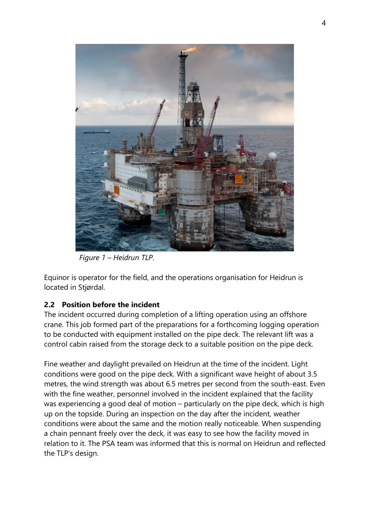

*Figure 1 – Heidrun TLP.*

[Equinor](https://no.wikipedia.org/wiki/Equinor) is operator for the field, and the operations organisation for Heidrun is located in [Stjørdal.](https://no.wikipedia.org/wiki/Stj%C3%B8rdal)

## **2.2 Position before the incident**

The incident occurred during completion of a lifting operation using an offshore crane. This job formed part of the preparations for a forthcoming logging operation to be conducted with equipment installed on the pipe deck. The relevant lift was a control cabin raised from the storage deck to a suitable position on the pipe deck.

Fine weather and daylight prevailed on Heidrun at the time of the incident. Light conditions were good on the pipe deck. With a significant wave height of about 3.5 metres, the wind strength was about 6.5 metres per second from the south-east. Even with the fine weather, personnel involved in the incident explained that the facility was experiencing a good deal of motion – particularly on the pipe deck, which is high up on the topside. During an inspection on the day after the incident, weather conditions were about the same and the motion really noticeable. When suspending a chain pennant freely over the deck, it was easy to see how the facility moved in relation to it. The PSA team was informed that this is normal on Heidrun and reflected the TLP's design.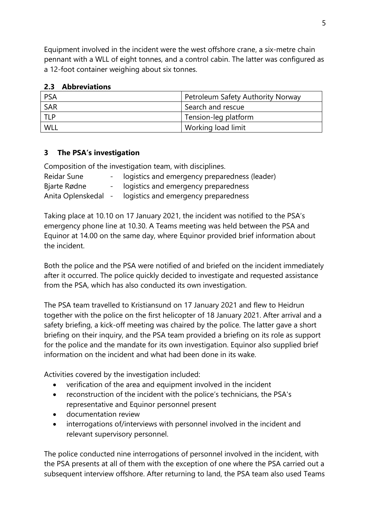Equipment involved in the incident were the west offshore crane, a six-metre chain pennant with a WLL of eight tonnes, and a control cabin. The latter was configured as a 12-foot container weighing about six tonnes.

| <b>PSA</b> | Petroleum Safety Authority Norway |
|------------|-----------------------------------|
| SAR        | Search and rescue                 |
| <b>TLP</b> | Tension-leg platform              |
| WLI        | Working load limit                |

#### **2.3 Abbreviations**

#### **3 The PSA's investigation**

Composition of the investigation team, with disciplines.

| Reidar Sune         | logistics and emergency preparedness (leader) |
|---------------------|-----------------------------------------------|
| Bjarte Rødne        | logistics and emergency preparedness          |
| Anita Oplenskedal - | logistics and emergency preparedness          |

Taking place at 10.10 on 17 January 2021, the incident was notified to the PSA's emergency phone line at 10.30. A Teams meeting was held between the PSA and Equinor at 14.00 on the same day, where Equinor provided brief information about the incident.

Both the police and the PSA were notified of and briefed on the incident immediately after it occurred. The police quickly decided to investigate and requested assistance from the PSA, which has also conducted its own investigation.

The PSA team travelled to Kristiansund on 17 January 2021 and flew to Heidrun together with the police on the first helicopter of 18 January 2021. After arrival and a safety briefing, a kick-off meeting was chaired by the police. The latter gave a short briefing on their inquiry, and the PSA team provided a briefing on its role as support for the police and the mandate for its own investigation. Equinor also supplied brief information on the incident and what had been done in its wake.

Activities covered by the investigation included:

- verification of the area and equipment involved in the incident
- reconstruction of the incident with the police's technicians, the PSA's representative and Equinor personnel present
- documentation review
- interrogations of/interviews with personnel involved in the incident and relevant supervisory personnel.

The police conducted nine interrogations of personnel involved in the incident, with the PSA presents at all of them with the exception of one where the PSA carried out a subsequent interview offshore. After returning to land, the PSA team also used Teams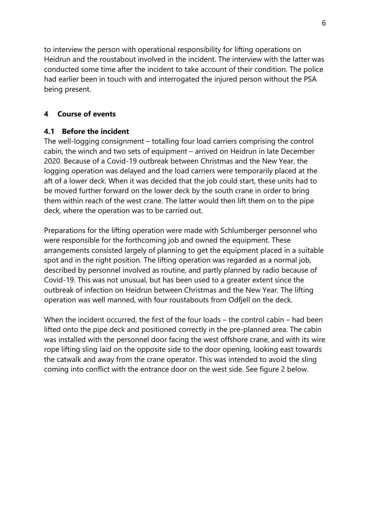to interview the person with operational responsibility for lifting operations on Heidrun and the roustabout involved in the incident. The interview with the latter was conducted some time after the incident to take account of their condition. The police had earlier been in touch with and interrogated the injured person without the PSA being present.

#### **4 Course of events**

#### **4.1 Before the incident**

The well-logging consignment – totalling four load carriers comprising the control cabin, the winch and two sets of equipment – arrived on Heidrun in late December 2020. Because of a Covid-19 outbreak between Christmas and the New Year, the logging operation was delayed and the load carriers were temporarily placed at the aft of a lower deck. When it was decided that the job could start, these units had to be moved further forward on the lower deck by the south crane in order to bring them within reach of the west crane. The latter would then lift them on to the pipe deck, where the operation was to be carried out.

Preparations for the lifting operation were made with Schlumberger personnel who were responsible for the forthcoming job and owned the equipment. These arrangements consisted largely of planning to get the equipment placed in a suitable spot and in the right position. The lifting operation was regarded as a normal job, described by personnel involved as routine, and partly planned by radio because of Covid-19. This was not unusual, but has been used to a greater extent since the outbreak of infection on Heidrun between Christmas and the New Year. The lifting operation was well manned, with four roustabouts from Odfjell on the deck.

When the incident occurred, the first of the four loads – the control cabin – had been lifted onto the pipe deck and positioned correctly in the pre-planned area. The cabin was installed with the personnel door facing the west offshore crane, and with its wire rope lifting sling laid on the opposite side to the door opening, looking east towards the catwalk and away from the crane operator. This was intended to avoid the sling coming into conflict with the entrance door on the west side. See figure 2 below.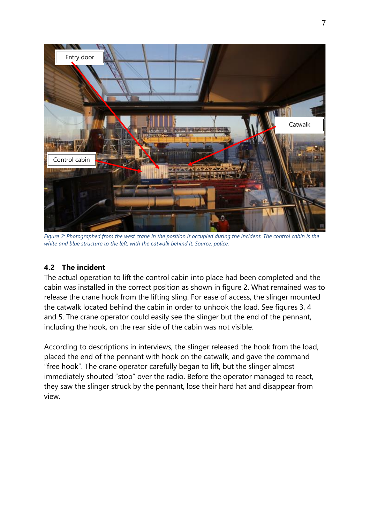

*Figure 2: Photographed from the west crane in the position it occupied during the incident. The control cabin is the white and blue structure to the left, with the catwalk behind it. Source: police.*

#### **4.2 The incident**

The actual operation to lift the control cabin into place had been completed and the cabin was installed in the correct position as shown in figure 2. What remained was to release the crane hook from the lifting sling. For ease of access, the slinger mounted the catwalk located behind the cabin in order to unhook the load. See figures 3, 4 and 5. The crane operator could easily see the slinger but the end of the pennant, including the hook, on the rear side of the cabin was not visible.

According to descriptions in interviews, the slinger released the hook from the load, placed the end of the pennant with hook on the catwalk, and gave the command "free hook". The crane operator carefully began to lift, but the slinger almost immediately shouted "stop" over the radio. Before the operator managed to react, they saw the slinger struck by the pennant, lose their hard hat and disappear from view.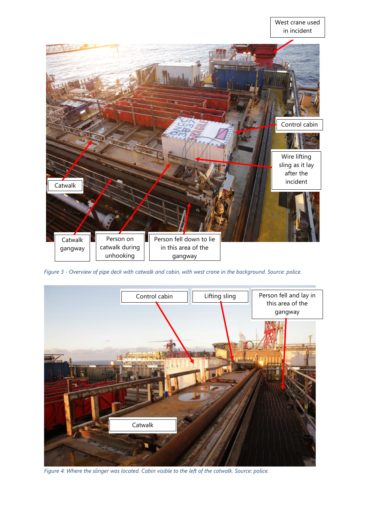#### West crane used in incident

8



*Figure 3 - Overview of pipe deck with catwalk and cabin, with west crane in the background. Source: police.*



*Figure 4: Where the slinger was located. Cabin visible to the left of the catwalk. Source: police.*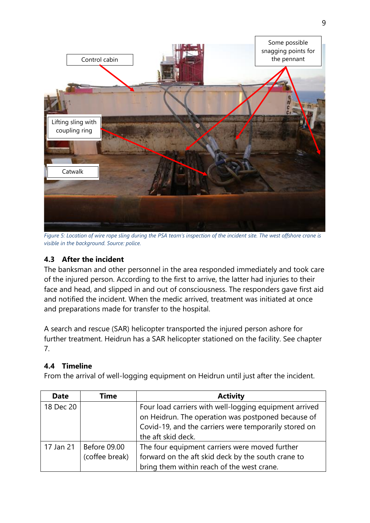

*Figure 5: Location of wire rope sling during the PSA team's inspection of the incident site. The west offshore crane is visible in the background. Source: police.*

# **4.3 After the incident**

The banksman and other personnel in the area responded immediately and took care of the injured person. According to the first to arrive, the latter had injuries to their face and head, and slipped in and out of consciousness. The responders gave first aid and notified the incident. When the medic arrived, treatment was initiated at once and preparations made for transfer to the hospital.

A search and rescue (SAR) helicopter transported the injured person ashore for further treatment. Heidrun has a SAR helicopter stationed on the facility. See chapter 7.

## **4.4 Timeline**

From the arrival of well-logging equipment on Heidrun until just after the incident.

| <b>Date</b> | Time                | <b>Activity</b>                                        |
|-------------|---------------------|--------------------------------------------------------|
| 18 Dec 20   |                     | Four load carriers with well-logging equipment arrived |
|             |                     | on Heidrun. The operation was postponed because of     |
|             |                     | Covid-19, and the carriers were temporarily stored on  |
|             |                     | the aft skid deck.                                     |
| 17 Jan 21   | <b>Before 09.00</b> | The four equipment carriers were moved further         |
|             | (coffee break)      | forward on the aft skid deck by the south crane to     |
|             |                     | bring them within reach of the west crane.             |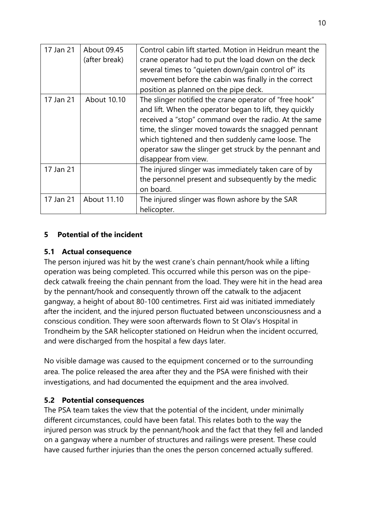| 17 Jan 21 | About 09.45<br>(after break) | Control cabin lift started. Motion in Heidrun meant the<br>crane operator had to put the load down on the deck<br>several times to "quieten down/gain control of" its<br>movement before the cabin was finally in the correct<br>position as planned on the pipe deck.                                                                                                   |
|-----------|------------------------------|--------------------------------------------------------------------------------------------------------------------------------------------------------------------------------------------------------------------------------------------------------------------------------------------------------------------------------------------------------------------------|
| 17 Jan 21 | About 10.10                  | The slinger notified the crane operator of "free hook"<br>and lift. When the operator began to lift, they quickly<br>received a "stop" command over the radio. At the same<br>time, the slinger moved towards the snagged pennant<br>which tightened and then suddenly came loose. The<br>operator saw the slinger get struck by the pennant and<br>disappear from view. |
| 17 Jan 21 |                              | The injured slinger was immediately taken care of by<br>the personnel present and subsequently by the medic<br>on board.                                                                                                                                                                                                                                                 |
| 17 Jan 21 | About 11.10                  | The injured slinger was flown ashore by the SAR<br>helicopter.                                                                                                                                                                                                                                                                                                           |

#### **5 Potential of the incident**

#### **5.1 Actual consequence**

The person injured was hit by the west crane's chain pennant/hook while a lifting operation was being completed. This occurred while this person was on the pipedeck catwalk freeing the chain pennant from the load. They were hit in the head area by the pennant/hook and consequently thrown off the catwalk to the adjacent gangway, a height of about 80-100 centimetres. First aid was initiated immediately after the incident, and the injured person fluctuated between unconsciousness and a conscious condition. They were soon afterwards flown to St Olav's Hospital in Trondheim by the SAR helicopter stationed on Heidrun when the incident occurred, and were discharged from the hospital a few days later.

No visible damage was caused to the equipment concerned or to the surrounding area. The police released the area after they and the PSA were finished with their investigations, and had documented the equipment and the area involved.

#### **5.2 Potential consequences**

The PSA team takes the view that the potential of the incident, under minimally different circumstances, could have been fatal. This relates both to the way the injured person was struck by the pennant/hook and the fact that they fell and landed on a gangway where a number of structures and railings were present. These could have caused further injuries than the ones the person concerned actually suffered.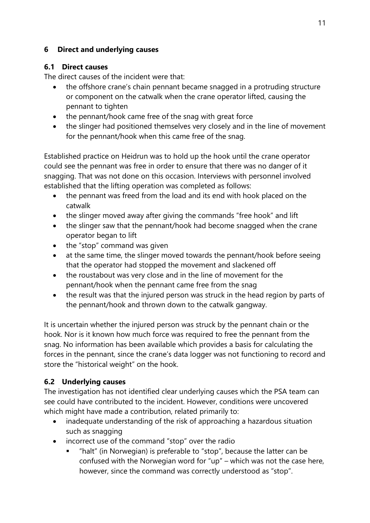#### **6 Direct and underlying causes**

#### **6.1 Direct causes**

The direct causes of the incident were that:

- the offshore crane's chain pennant became snagged in a protruding structure or component on the catwalk when the crane operator lifted, causing the pennant to tighten
- the pennant/hook came free of the snag with great force
- the slinger had positioned themselves very closely and in the line of movement for the pennant/hook when this came free of the snag.

Established practice on Heidrun was to hold up the hook until the crane operator could see the pennant was free in order to ensure that there was no danger of it snagging. That was not done on this occasion. Interviews with personnel involved established that the lifting operation was completed as follows:

- the pennant was freed from the load and its end with hook placed on the catwalk
- the slinger moved away after giving the commands "free hook" and lift
- the slinger saw that the pennant/hook had become snagged when the crane operator began to lift
- the "stop" command was given
- at the same time, the slinger moved towards the pennant/hook before seeing that the operator had stopped the movement and slackened off
- the roustabout was very close and in the line of movement for the pennant/hook when the pennant came free from the snag
- the result was that the injured person was struck in the head region by parts of the pennant/hook and thrown down to the catwalk gangway.

It is uncertain whether the injured person was struck by the pennant chain or the hook. Nor is it known how much force was required to free the pennant from the snag. No information has been available which provides a basis for calculating the forces in the pennant, since the crane's data logger was not functioning to record and store the "historical weight" on the hook.

## **6.2 Underlying causes**

The investigation has not identified clear underlying causes which the PSA team can see could have contributed to the incident. However, conditions were uncovered which might have made a contribution, related primarily to:

- inadequate understanding of the risk of approaching a hazardous situation such as snagging
- incorrect use of the command "stop" over the radio
	- "halt" (in Norwegian) is preferable to "stop", because the latter can be confused with the Norwegian word for "up" – which was not the case here, however, since the command was correctly understood as "stop".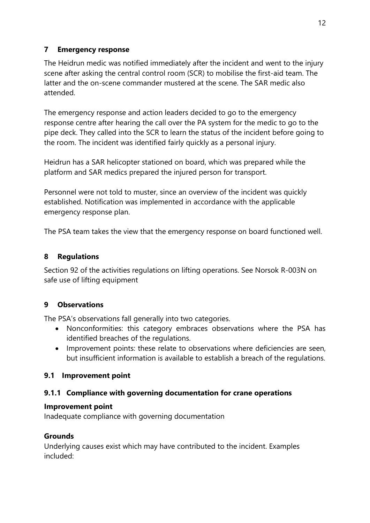## **7 Emergency response**

The Heidrun medic was notified immediately after the incident and went to the injury scene after asking the central control room (SCR) to mobilise the first-aid team. The latter and the on-scene commander mustered at the scene. The SAR medic also attended.

The emergency response and action leaders decided to go to the emergency response centre after hearing the call over the PA system for the medic to go to the pipe deck. They called into the SCR to learn the status of the incident before going to the room. The incident was identified fairly quickly as a personal injury.

Heidrun has a SAR helicopter stationed on board, which was prepared while the platform and SAR medics prepared the injured person for transport.

Personnel were not told to muster, since an overview of the incident was quickly established. Notification was implemented in accordance with the applicable emergency response plan.

The PSA team takes the view that the emergency response on board functioned well.

## **8 Regulations**

Section 92 of the activities regulations on lifting operations. See Norsok R-003N on safe use of lifting equipment

## **9 Observations**

The PSA's observations fall generally into two categories.

- Nonconformities: this category embraces observations where the PSA has identified breaches of the regulations.
- Improvement points: these relate to observations where deficiencies are seen, but insufficient information is available to establish a breach of the regulations.

## **9.1 Improvement point**

## **9.1.1 Compliance with governing documentation for crane operations**

#### **Improvement point**

Inadequate compliance with governing documentation

#### **Grounds**

Underlying causes exist which may have contributed to the incident. Examples included: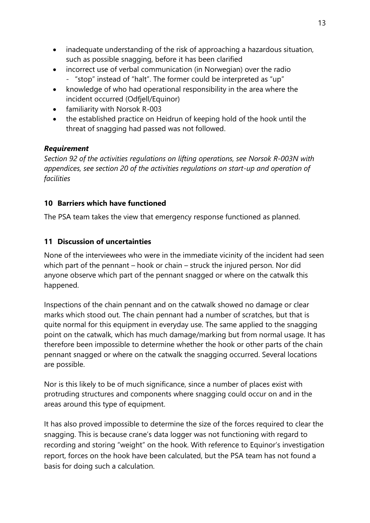- inadequate understanding of the risk of approaching a hazardous situation, such as possible snagging, before it has been clarified
- incorrect use of verbal communication (in Norwegian) over the radio ‑ "stop" instead of "halt". The former could be interpreted as "up"
- knowledge of who had operational responsibility in the area where the incident occurred (Odfjell/Equinor)
- familiarity with Norsok R-003
- the established practice on Heidrun of keeping hold of the hook until the threat of snagging had passed was not followed.

## *Requirement*

*Section 92 of the activities regulations on lifting operations, see Norsok R-003N with appendices, see section 20 of the activities regulations on start-up and operation of facilities*

## **10 Barriers which have functioned**

The PSA team takes the view that emergency response functioned as planned.

# **11 Discussion of uncertainties**

None of the interviewees who were in the immediate vicinity of the incident had seen which part of the pennant – hook or chain – struck the injured person. Nor did anyone observe which part of the pennant snagged or where on the catwalk this happened.

Inspections of the chain pennant and on the catwalk showed no damage or clear marks which stood out. The chain pennant had a number of scratches, but that is quite normal for this equipment in everyday use. The same applied to the snagging point on the catwalk, which has much damage/marking but from normal usage. It has therefore been impossible to determine whether the hook or other parts of the chain pennant snagged or where on the catwalk the snagging occurred. Several locations are possible.

Nor is this likely to be of much significance, since a number of places exist with protruding structures and components where snagging could occur on and in the areas around this type of equipment.

It has also proved impossible to determine the size of the forces required to clear the snagging. This is because crane's data logger was not functioning with regard to recording and storing "weight" on the hook. With reference to Equinor's investigation report, forces on the hook have been calculated, but the PSA team has not found a basis for doing such a calculation.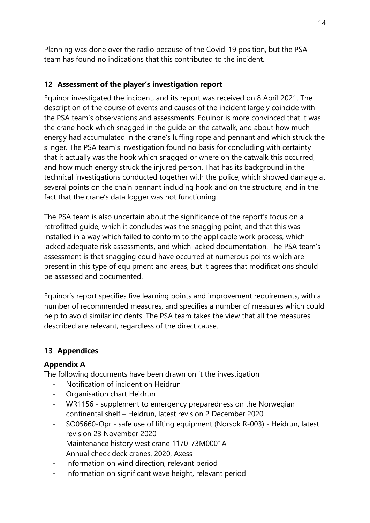Planning was done over the radio because of the Covid-19 position, but the PSA team has found no indications that this contributed to the incident.

## **12 Assessment of the player's investigation report**

Equinor investigated the incident, and its report was received on 8 April 2021. The description of the course of events and causes of the incident largely coincide with the PSA team's observations and assessments. Equinor is more convinced that it was the crane hook which snagged in the guide on the catwalk, and about how much energy had accumulated in the crane's luffing rope and pennant and which struck the slinger. The PSA team's investigation found no basis for concluding with certainty that it actually was the hook which snagged or where on the catwalk this occurred, and how much energy struck the injured person. That has its background in the technical investigations conducted together with the police, which showed damage at several points on the chain pennant including hook and on the structure, and in the fact that the crane's data logger was not functioning.

The PSA team is also uncertain about the significance of the report's focus on a retrofitted guide, which it concludes was the snagging point, and that this was installed in a way which failed to conform to the applicable work process, which lacked adequate risk assessments, and which lacked documentation. The PSA team's assessment is that snagging could have occurred at numerous points which are present in this type of equipment and areas, but it agrees that modifications should be assessed and documented.

Equinor's report specifies five learning points and improvement requirements, with a number of recommended measures, and specifies a number of measures which could help to avoid similar incidents. The PSA team takes the view that all the measures described are relevant, regardless of the direct cause.

# **13 Appendices**

## **Appendix A**

The following documents have been drawn on it the investigation

- ‑ Notification of incident on Heidrun
- ‑ Organisation chart Heidrun
- ‑ WR1156 supplement to emergency preparedness on the Norwegian continental shelf – Heidrun, latest revision 2 December 2020
- ‑ SO05660-Opr safe use of lifting equipment (Norsok R-003) Heidrun, latest revision 23 November 2020
- ‑ Maintenance history west crane 1170-73M0001A
- ‑ Annual check deck cranes, 2020, Axess
- Information on wind direction, relevant period
- ‑ Information on significant wave height, relevant period